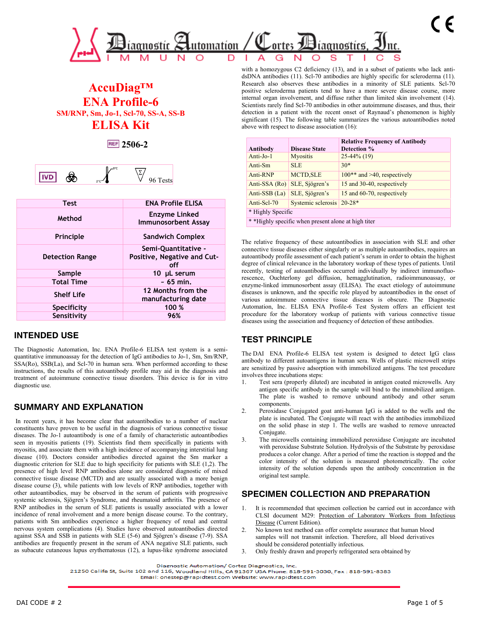

# **AccuDiag™ ENA Profile-6 SM/RNP, Sm, Jo-1, Scl-70, SS-A, SS-B ELISA Kit**

**2506-2**

|--|

| <b>Test</b>            | <b>ENA Profile ELISA</b>                                  |
|------------------------|-----------------------------------------------------------|
| Method                 | Enzyme Linked<br><b>Immunosorbent Assay</b>               |
| <b>Principle</b>       | <b>Sandwich Complex</b>                                   |
| <b>Detection Range</b> | Semi-Quantitative -<br>Positive, Negative and Cut-<br>off |
| Sample                 | 10 µL serum                                               |
| <b>Total Time</b>      | $\sim 65$ min.                                            |
| <b>Shelf Life</b>      | 12 Months from the<br>manufacturing date                  |
| Specificity            | 100 %                                                     |
| Sensitivity            | 96%                                                       |

## **INTENDED USE**

The Diagnostic Automation, Inc. ENA Profile-6 ELISA test system is a semiquantitative immunoassay for the detection of IgG antibodies to Jo-1, Sm, Sm/RNP, SSA(Ro), SSB(La), and Scl-70 in human sera. When performed according to these instructions, the results of this autoantibody profile may aid in the diagnosis and treatment of autoimmune connective tissue disorders. This device is for in vitro diagnostic use.

## **SUMMARY AND EXPLANATION**

In recent years, it has become clear that autoantibodies to a number of nuclear constituents have proven to be useful in the diagnosis of various connective tissue diseases. The Jo-1 autoantibody is one of a family of characteristic autoantibodies seen in myositis patients (19). Scientists find them specifically in patients with myositis, and associate them with a high incidence of accompanying interstitial lung disease (10). Doctors consider antibodies directed against the Sm marker a diagnostic criterion for SLE due to high specificity for patients with SLE (1,2). The presence of high level RNP antibodies alone are considered diagnostic of mixed connective tissue disease (MCTD) and are usually associated with a more benign disease course (3), while patients with low levels of RNP antibodies, together with other autoantibodies, may be observed in the serum of patients with progressive systemic sclerosis, Sjögren's Syndrome, and rheumatoid arthritis. The presence of RNP antibodies in the serum of SLE patients is usually associated with a lower incidence of renal involvement and a more benign disease course. To the contrary, patients with Sm antibodies experience a higher frequency of renal and central nervous system complications (4). Studies have observed autoantibodies directed against SSA and SSB in patients with SLE (5-6) and Sjögren's disease (7-9). SSA antibodies are frequently present in the serum of ANA negative SLE patients, such as subacute cutaneous lupus erythematosus (12), a lupus-like syndrome associated

with a homozygous C2 deficiency (13), and in a subset of patients who lack antidsDNA antibodies (11). Scl-70 antibodies are highly specific for scleroderma (11). Research also observes these antibodies in a minority of SLE patients. Scl-70 positive scleroderma patients tend to have a more severe disease course, more internal organ involvement, and diffuse rather than limited skin involvement (14). Scientists rarely find Scl-70 antibodies in other autoimmune diseases, and thus, their detection in a patient with the recent onset of Raynaud's phenomenon is highly significant (15). The following table summarizes the various autoantibodies noted above with respect to disease association (16):

| Antibody                                                        | <b>Disease State</b>                                            | <b>Relative Frequency of Antibody</b><br>Detection % |  |  |  |
|-----------------------------------------------------------------|-----------------------------------------------------------------|------------------------------------------------------|--|--|--|
| $Anti-Jo-1$                                                     | <b>Myositis</b>                                                 | $25-44\%$ (19)                                       |  |  |  |
| Anti-Sm                                                         | <b>SLE</b>                                                      | $30*$                                                |  |  |  |
| Anti-RNP                                                        | <b>MCTD, SLE</b>                                                | $100**$ and $>40$ , respectively                     |  |  |  |
|                                                                 | SLE, Sjögren's<br>15 and 30-40, respectively<br>Anti-SSA $(Ro)$ |                                                      |  |  |  |
| SLE, Sjögren's<br>15 and 60-70, respectively<br>Anti-SSB $(La)$ |                                                                 |                                                      |  |  |  |
| $20 - 28*$<br>Systemic sclerosis<br>Anti-Scl-70                 |                                                                 |                                                      |  |  |  |
| * Highly Specific                                               |                                                                 |                                                      |  |  |  |
| * *Highly specific when present alone at high titer             |                                                                 |                                                      |  |  |  |

The relative frequency of these autoantibodies in association with SLE and other connective tissue diseases either singularly or as multiple autoantibodies, requires an autoantibody profile assessment of each patient's serum in order to obtain the highest degree of clinical relevance in the laboratory workup of these types of patients. Until recently, testing of autoantibodies occurred individually by indirect immunofluorescence, Ouchterlony gel diffusion, hemagglutination, radioimmunoassay, or enzyme-linked immunosorbent assay (ELISA). The exact etiology of autoimmune diseases is unknown, and the specific role played by autoantibodies in the onset of various autoimmune connective tissue diseases is obscure. The Diagnostic Automation, Inc. ELISA ENA Profile-6 Test System offers an efficient test procedure for the laboratory workup of patients with various connective tissue diseases using the association and frequency of detection of these antibodies.

## **TEST PRINCIPLE**

The DAI ENA Profile-6 ELISA test system is designed to detect IgG class antibody to different autoantigens in human sera. Wells of plastic microwell strips are sensitized by passive adsorption with immobilized antigens. The test procedure involves three incubations steps:

- 1. Test sera (properly diluted) are incubated in antigen coated microwells. Any antigen specific antibody in the sample will bind to the immobilized antigen. The plate is washed to remove unbound antibody and other serum components.
- 2. Peroxidase Conjugated goat anti-human IgG is added to the wells and the plate is incubated. The Conjugate will react with the antibodies immobilized on the solid phase in step 1. The wells are washed to remove unreacted Conjugate.
- 3. The microwells containing immobilized peroxidase Conjugate are incubated with peroxidase Substrate Solution. Hydrolysis of the Substrate by peroxidase produces a color change. After a period of time the reaction is stopped and the color intensity of the solution is measured photometrically. The color intensity of the solution depends upon the antibody concentration in the original test sample.

## **SPECIMEN COLLECTION AND PREPARATION**

- 1. It is recommended that specimen collection be carried out in accordance with CLSI document M29: Protection of Laboratory Workers from Infectious Disease (Current Edition).
- 2. No known test method can offer complete assurance that human blood samples will not transmit infection. Therefore, all blood derivatives should be considered potentially infectious.
- 3. Only freshly drawn and properly refrigerated sera obtained by

Diagnostic Automation/ Cortez Diagnostics, Inc.

21250 Califa St, Suite 102 and 116, Woodland Hills, CA 91367 USA Phone: 818-591-3030, Fax: 818-591-8383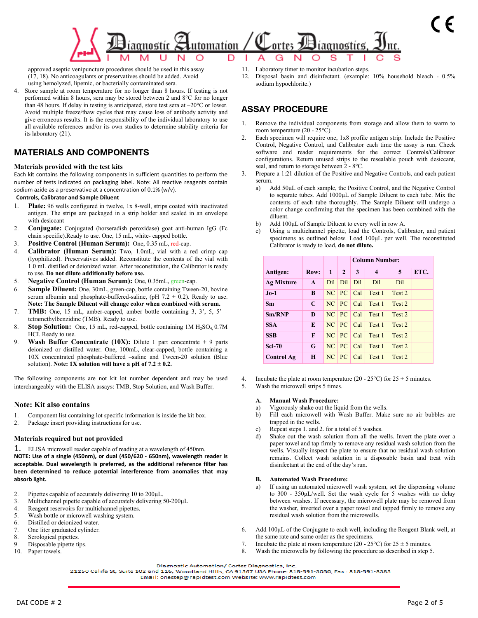

approved aseptic venipuncture procedures should be used in this assay (17, 18). No anticoagulants or preservatives should be added. Avoid using hemolyzed, lipemic, or bacterially contaminated sera.

4. Store sample at room temperature for no longer than 8 hours. If testing is not performed within 8 hours, sera may be stored between 2 and 8°C for no longer than 48 hours. If delay in testing is anticipated, store test sera at –20°C or lower. Avoid multiple freeze/thaw cycles that may cause loss of antibody activity and give erroneous results. It is the responsibility of the individual laboratory to use all available references and/or its own studies to determine stability criteria for its laboratory (21).

## **MATERIALS AND COMPONENTS**

### **Materials provided with the test kits**

Each kit contains the following components in sufficient quantities to perform the number of tests indicated on packaging label. Note: All reactive reagents contain sodium azide as a preservative at a concentration of 0.1% (w/v).

### **Controls, Calibrator and Sample Diluent**

- Plate: 96 wells configured in twelve, 1x 8-well, strips coated with inactivated antigen. The strips are packaged in a strip holder and sealed in an envelope with desiccant
- 2. **Conjugate:** Conjugated (horseradish peroxidase) goat anti-human IgG (Fc chain specific).Ready to use. One, 15 mL, white- capped bottle.
- 3. **Positive Control (Human Serum):** One, 0.35 mL, red-cap.
- 4. **Calibrator (Human Serum):** Two, 1.0mL, vial with a red crimp cap (lyophilized). Preservatives added. Reconstitute the contents of the vial with 1.0 mL distilled or deionized water. After reconstitution, the Calibrator is ready to use. **Do not dilute additionally before use.**
- 5. **Negative Control (Human Serum):** One, 0.35mL, green-cap.
- 6. **Sample Diluent:** One, 30mL, green-cap, bottle containing Tween-20, bovine serum albumin and phosphate-buffered-saline, (pH  $7.2 \pm 0.2$ ). Ready to use. **Note: The Sample Diluent will change color when combined with serum.**
- 7. **TMB:** One, 15 mL, amber-capped, amber bottle containing 3, 3', 5, 5' tetramethylbenzidine (TMB). Ready to use.
- 8. **Stop Solution:** One, 15 mL, red-capped, bottle containing 1M H<sub>2</sub>SO<sub>4</sub>, 0.7M HCI. Ready to use.
- 9. **Wash Buffer Concentrate (10X):** Dilute 1 part concentrate + 9 parts deionized or distilled water. One, 100mL, clear-capped, bottle containing a 10X concentrated phosphate-buffered –saline and Tween-20 solution (Blue solution). Note: 1X solution will have a pH of  $7.2 \pm 0.2$ .

The following components are not kit lot number dependent and may be used interchangeably with the ELISA assays: TMB, Stop Solution, and Wash Buffer.

### **Note: Kit also contains**

- 1. Component list containing lot specific information is inside the kit box.
- 2. Package insert providing instructions for use.

### **Materials required but not provided**

1. ELISA microwell reader capable of reading at a wavelength of 450nm. **NOTE: Use of a single (450nm), or dual (450/620 - 650nm), wavelength reader is acceptable. Dual wavelength is preferred, as the additional reference filter has been determined to reduce potential interference from anomalies that may absorb light.** 

- 2. Pipettes capable of accurately delivering 10 to 200µL.
- 3. Multichannel pipette capable of accurately delivering 50-200µL
- 4. Reagent reservoirs for multichannel pipettes.
- 5. Wash bottle or microwell washing system.
- 6. Distilled or deionized water.
- 7. One liter graduated cylinder.
- 8. Serological pipettes.<br>9. Disposable pipette ti
- Disposable pipette tips.
- 10. Paper towels.
- 11. Laboratory timer to monitor incubation steps.
- 12. Disposal basin and disinfectant. (example: 10% household bleach 0.5% sodium hypochlorite.)

## **ASSAY PROCEDURE**

- Remove the individual components from storage and allow them to warm to room temperature (20 - 25°C).
- 2. Each specimen will require one, 1x8 profile antigen strip. Include the Positive Control, Negative Control, and Calibrator each time the assay is run. Check software and reader requirements for the correct Controls/Calibrator configurations. Return unused strips to the resealable pouch with desiccant, seal, and return to storage between 2 - 8°C.
- 3. Prepare a 1:21 dilution of the Positive and Negative Controls, and each patient serum.
	- a) Add 50μL of each sample, the Positive Control, and the Negative Control to separate tubes. Add 1000μL of Sample Diluent to each tube. Mix the contents of each tube thoroughly. The Sample Diluent will undergo a color change confirming that the specimen has been combined with the diluent.
	- b) Add 100μL of Sample Diluent to every well in row A.
	- Using a multichannel pipette, load the Controls, Calibrator, and patient specimens as outlined below. Load 100μL per well. The reconstituted Calibrator is ready to load, **do not dilute.**

|                   |              |                 |                                    |     | <b>Column Number:</b> |                 |      |  |
|-------------------|--------------|-----------------|------------------------------------|-----|-----------------------|-----------------|------|--|
| Antigen:          | Row:         | 1               | $\mathbf{2}$                       | 3   | 4                     | 5               | ETC. |  |
| <b>Ag Mixture</b> | $\mathbf{A}$ | D <sub>il</sub> | D <sub>il</sub>                    | Dil | D <sub>il</sub>       | D <sub>il</sub> |      |  |
| $Jo-1$            | B            | NC              | PC                                 | Cal | Test 1                | Test 2          |      |  |
| <b>Sm</b>         | C            | NC              | PC                                 | Cal | Test 1                | Test 2          |      |  |
| Sm/RNP            | D            | NC              | $\overline{\mathsf{P} C}$          | Cal | Test 1                | Test 2          |      |  |
| <b>SSA</b>        | E            | NC              | PC                                 | Cal | Test 1                | Test 2          |      |  |
| <b>SSB</b>        | F            | NC              | PC                                 | Cal | Test 1                | Test 2          |      |  |
| <b>Scl-70</b>     | G            | NC              | PC                                 | Cal | Test 1                | Test 2          |      |  |
| <b>Control Ag</b> | H            | NC              | $\overline{\mathsf{P} \mathsf{C}}$ | Cal | Test 1                | Test 2          |      |  |

- 4. Incubate the plate at room temperature (20 25 °C) for  $25 \pm 5$  minutes.
- 5. Wash the microwell strips 5 times.

#### **A. Manual Wash Procedure:**

- a) Vigorously shake out the liquid from the wells.
- b) Fill each microwell with Wash Buffer. Make sure no air bubbles are trapped in the wells.
- c) Repeat steps 1. and 2. for a total of 5 washes.
- d) Shake out the wash solution from all the wells. Invert the plate over a paper towel and tap firmly to remove any residual wash solution from the wells. Visually inspect the plate to ensure that no residual wash solution remains. Collect wash solution in a disposable basin and treat with disinfectant at the end of the day's run.

#### **B. Automated Wash Procedure:**

- a) If using an automated microwell wash system, set the dispensing volume to 300 - 350μL/well. Set the wash cycle for 5 washes with no delay between washes. If necessary, the microwell plate may be removed from the washer, inverted over a paper towel and tapped firmly to remove any residual wash solution from the microwells.
- 6. Add 100μL of the Conjugate to each well, including the Reagent Blank well, at the same rate and same order as the specimens.
- 7. Incubate the plate at room temperature (20 25 °C) for  $25 \pm 5$  minutes.
- 8. Wash the microwells by following the procedure as described in step 5.

21250 Califa St, Suite 102 and 116, Woodland Hills, CA 91367 USA Phone: 818-591-3030, Fax: 818-591-8383

Diagnostic Automation/ Cortez Diagnostics, Inc.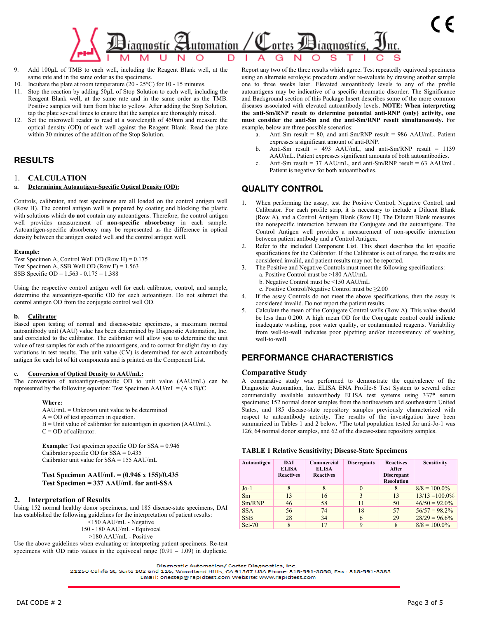

- 9. Add 100μL of TMB to each well, including the Reagent Blank well, at the same rate and in the same order as the specimens.
- 10. Incubate the plate at room temperature (20 25°C) for 10 15 minutes.
- 11. Stop the reaction by adding 50μL of Stop Solution to each well, including the Reagent Blank well, at the same rate and in the same order as the TMB. Positive samples will turn from blue to yellow. After adding the Stop Solution, tap the plate several times to ensure that the samples are thoroughly mixed.
- 12. Set the microwell reader to read at a wavelength of 450nm and measure the optical density (OD) of each well against the Reagent Blank. Read the plate within 30 minutes of the addition of the Stop Solution.

## **RESULTS**

1. **CALCULATION**

#### **Determining Autoantigen-Specific Optical Density (OD):**

Controls, calibrator, and test specimens are all loaded on the control antigen well (Row H). The control antigen well is prepared by coating and blocking the plastic with solutions which **do not** contain any autoantigens. Therefore, the control antigen well provides measurement of **non-specific absorbency** in each sample. Autoantigen-specific absorbency may be represented as the difference in optical density between the antigen coated well and the control antigen well.

#### **Example:**

Test Specimen A, Control Well OD (Row H) =  $0.175$ Test Specimen A, SSB Well OD (Row F) =  $1.563$ SSB Specific OD = 1.563 - 0.175 = 1.388

Using the respective control antigen well for each calibrator, control, and sample, determine the autoantigen-specific OD for each autoantigen. Do not subtract the control antigen OD from the conjugate control well OD.

#### **b. Calibrator**

Based upon testing of normal and disease-state specimens, a maximum normal autoantibody unit (AAU) value has been determined by Diagnostic Automation, Inc. and correlated to the calibrator. The calibrator will allow you to determine the unit value of test samples for each of the autoantigens, and to correct for slight day-to-day variations in test results. The unit value  $(CV)$  is determined for each autoantibody antigen for each lot of kit components and is printed on the Component List.

#### **c. Conversion of Optical Density to AAU/mL:**

The conversion of autoantigen-specific OD to unit value (AAU/mL) can be represented by the following equation: Test Specimen  $AAU/mL = (A \times B) / C$ 

#### **Where:**

- AAU/mL = Unknown unit value to be determined
	- A = OD of test specimen in question.
	- $B =$  Unit value of calibrator for autoantigen in question (AAU/mL).  $C = OD$  of calibrator.

**Example:** Test specimen specific OD for SSA = 0.946 Calibrator specific OD for SSA = 0.435 Calibrator unit value for SSA = 155 AAU/mL

### **Test Specimen AAU/mL = (0.946 x 155)/0.435 Test Specimen = 337 AAU/mL for anti-SSA**

### **2. Interpretation of Results**

Using 152 normal healthy donor specimens, and 185 disease-state specimens, DAI has established the following guidelines for the interpretation of patient results:

- <150 AAU/mL Negative 150 - 180 AAU/mL - Equivocal
	- >180 AAU/mL Positive

Use the above guidelines when evaluating or interpreting patient specimens. Re-test specimens with OD ratio values in the equivocal range  $(0.91 - 1.09)$  in duplicate. Report any two of the three results which agree. Test repeatedly equivocal specimens using an alternate serologic procedure and/or re-evaluate by drawing another sample one to three weeks later. Elevated autoantibody levels to any of the profile autoantigens may be indicative of a specific rheumatic disorder. The Significance and Background section of this Package Insert describes some of the more common diseases associated with elevated autoantibody levels. **NOTE: When interpreting the anti-Sm/RNP result to determine potential anti-RNP (only) activity, one must consider the anti-Sm and the anti-Sm/RNP result simultaneously.** For example, below are three possible scenarios:

- a. Anti-Sm result =  $80$ , and anti-Sm/RNP result =  $986$  AAU/mL. Patient expresses a significant amount of anti-RNP.
- b. Anti-Sm result = 493 AAU/mL, and anti-Sm/RNP result = 1139 AAU/mL. Patient expresses significant amounts of both autoantibodies.
- c. Anti-Sm result =  $37$  AAU/mL, and anti-Sm/RNP result =  $63$  AAU/mL. Patient is negative for both autoantibodies.

## **QUALITY CONTROL**

- When performing the assay, test the Positive Control, Negative Control, and Calibrator. For each profile strip, it is necessary to include a Diluent Blank (Row A), and a Control Antigen Blank (Row H). The Diluent Blank measures the nonspecific interaction between the Conjugate and the autoantigens. The Control Antigen well provides a measurement of non-specific interaction between patient antibody and a Control Antigen.
- Refer to the included Component List. This sheet describes the lot specific specifications for the Calibrator. If the Calibrator is out of range, the results are considered invalid, and patient results may not be reported.
- 3. The Positive and Negative Controls must meet the following specifications:
	- a. Positive Control must be >180 AAU/mL
	- b. Negative Control must be <150 AAU/mL
	- c. Positive Control/Negative Control must be ≥2.00
- 4. If the assay Controls do not meet the above specifications, then the assay is considered invalid. Do not report the patient results.
- 5. Calculate the mean of the Conjugate Control wells (Row A). This value should be less than 0.200. A high mean OD for the Conjugate control could indicate inadequate washing, poor water quality, or contaminated reagents. Variability from well-to-well indicates poor pipetting and/or inconsistency of washing, well-to-well.

## **PERFORMANCE CHARACTERISTICS**

### **Comparative Study**

A comparative study was performed to demonstrate the equivalence of the Diagnostic Automation, Inc. ELISA ENA Profile-6 Test System to several other commercially available autoantibody ELISA test systems using 337\* serum specimens; 152 normal donor samples from the northeastern and southeastern United States, and 185 disease-state repository samples previously characterized with respect to autoantibody activity. The results of the investigation have been summarized in Tables 1 and 2 below. \*The total population tested for anti-Jo-1 was 126; 64 normal donor samples, and 62 of the disease-state repository samples.

### **TABLE 1 Relative Sensitivity; Disease-State Specimens**

| Autoantigen | DAI<br><b>ELISA</b><br><b>Reactives</b> | Commercial<br><b>ELISA</b><br><b>Reactives</b> | <b>Discrepants</b> | <b>Reactives</b><br>After<br><b>Discrepant</b><br><b>Resolution</b> | Sensitivity       |
|-------------|-----------------------------------------|------------------------------------------------|--------------------|---------------------------------------------------------------------|-------------------|
| $Jo-1$      |                                         |                                                | $\theta$           | 8                                                                   | $8/8 = 100.0\%$   |
| Sm          | 13                                      | 16                                             | 3                  | 13                                                                  | $13/13 = 100.0\%$ |
| Sm/RNP      | 46                                      | 58                                             | 11                 | 50                                                                  | $46/50 = 92.0\%$  |
| <b>SSA</b>  | 56                                      | 74                                             | 18                 | 57                                                                  | $56/57 = 98.2\%$  |
| <b>SSB</b>  | 28                                      | 34                                             | 6                  | 29                                                                  | $28/29 = 96.6\%$  |
| Scl-70      | 8                                       | 17                                             | 9                  | 8                                                                   | $8/8 = 100.0\%$   |

Diagnostic Automation/ Cortez Diagnostics, Inc.

21250 Califa St, Suite 102 and 116, Woodland Hills, CA 91367 USA Phone: 818-591-3030, Fax: 818-591-8383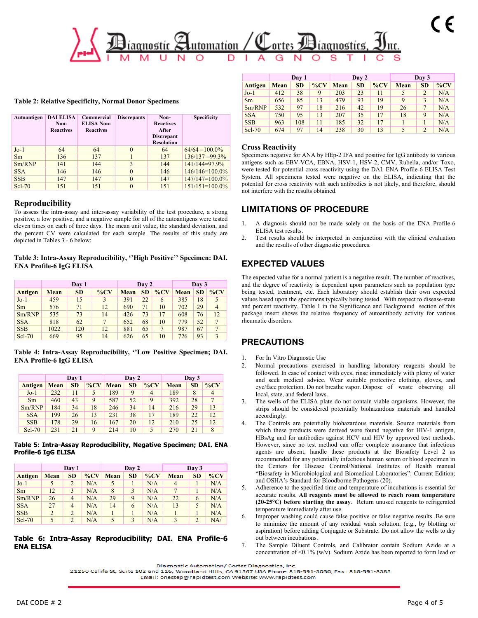

**Table 2: Relative Specificity, Normal Donor Specimens**

| Autoantigen | <b>DAI ELISA</b><br>Non-<br><b>Reactives</b> | Commercial<br><b>ELISA Non-</b><br><b>Reactives</b> | <b>Discrepants</b> | Non-<br><b>Reactives</b><br>After<br><b>Discrepant</b><br><b>Resolution</b> | <b>Specificity</b>  |
|-------------|----------------------------------------------|-----------------------------------------------------|--------------------|-----------------------------------------------------------------------------|---------------------|
| $Jo-1$      | 64                                           | 64                                                  | $\theta$           | 64                                                                          | $64/64 = 100.0\%$   |
| Sm          | 136                                          | 137                                                 |                    | 137                                                                         | $136/137 = 99.3\%$  |
| Sm/RNP      | 141                                          | 144                                                 | 3                  | 144                                                                         | 141/144=97.9%       |
| <b>SSA</b>  | 146                                          | 146                                                 | $\theta$           | 146                                                                         | $146/146=100.0\%$   |
| <b>SSB</b>  | 147                                          | 147                                                 | $\theta$           | 147                                                                         | $147/147=100.0\%$   |
| $Scl-70$    | 151                                          | 151                                                 | $\theta$           | 151                                                                         | $151/151 = 100.0\%$ |

### **Reproducibility**

To assess the intra-assay and inter-assay variability of the test procedure, a strong positive, a low positive, and a negative sample for all of the autoantigens were tested eleven times on each of three days. The mean unit value, the standard deviation, and the percent CV were calculated for each sample. The results of this study are depicted in Tables 3 - 6 below:

**Table 3: Intra-Assay Reproducibility, ''High Positive'' Specimen: DAI. ENA Profile-6 IgG ELISA**

|            |             |           | Day 2  |      | Day 3     |        |             |           |                |
|------------|-------------|-----------|--------|------|-----------|--------|-------------|-----------|----------------|
| Antigen    | <b>Mean</b> | <b>SD</b> | $\%CV$ | Mean | <b>SD</b> | $\%CV$ | <b>Mean</b> | <b>SD</b> | $\%$ CV        |
| $Jo-1$     | 459         | 15        | 3      | 391  | 22        | 6      | 385         | 18        |                |
| Sm         | 576         | 71        | 12     | 690  | 71        | 10     | 702         | 29        | $\overline{4}$ |
| Sm/RNP     | 535         | 73        | 14     | 426  | 73        | 17     | 608         | 76        | 12             |
| <b>SSA</b> | 818         | 62        |        | 652  | 68        | 10     | 779         | 52        |                |
| <b>SSB</b> | 1022        | 120       | 12     | 881  | 65        | 7      | 987         | 67        |                |
| $Scl-70$   | 669         | 95        | 14     | 626  | 65        | 10     | 726         | 93        |                |

**Table 4: Intra-Assay Reproducibility, ''Low Positive Specimen; DAI. ENA Profile-6 IgG ELISA**

|            |      | Day 1     |        |      | Day 2     |                |      | Day 3     |                |
|------------|------|-----------|--------|------|-----------|----------------|------|-----------|----------------|
| Antigen    | Mean | <b>SD</b> | $\%CV$ | Mean | <b>SD</b> | $\%CV$         | Mean | <b>SD</b> | $\%CV$         |
| $Jo-1$     | 232  | 11        |        | 189  | 9         | $\overline{4}$ | 189  | 8         | $\overline{4}$ |
| <b>Sm</b>  | 460  | 43        | 9      | 587  | 52        | 9              | 392  | 28        | $\overline{7}$ |
| Sm/RNP     | 184  | 34        | 18     | 246  | 34        | 14             | 216  | 29        | 13             |
| <b>SSA</b> | 199  | 26        | 13     | 231  | 38        | 17             | 189  | 22        | 12             |
| <b>SSB</b> | 178  | 29        | 16     | 167  | 20        | 12             | 210  | 25        | 12             |
| $Scl-70$   | 231  | 21        | 9      | 214  | 10        | 5              | 270  | 21        | 8              |

**Table 5: Intra-Assay Reproducibility, Negative Specimen; DAI. ENA Profile-6 IgG ELISA**

|            | Day 1 |                |        | Day 2       |           |        | Day 3          |                |        |
|------------|-------|----------------|--------|-------------|-----------|--------|----------------|----------------|--------|
| Antigen    | Mean  | <b>SD</b>      | $\%CV$ | <b>Mean</b> | <b>SD</b> | $\%CV$ | <b>Mean</b>    | <b>SD</b>      | $\%CV$ |
| $Jo-1$     |       | 2              | N/A    | 5           |           | N/A    | $\overline{4}$ |                | N/A    |
| Sm         | 12    | 3              | N/A    | 8           | 3         | N/A    | 7              |                | N/A    |
| Sm/RNP     | 26    | $\overline{4}$ | N/A    | 29          | 9         | N/A    | 22             | 6              | N/A    |
| <b>SSA</b> | 27    | $\overline{4}$ | N/A    | 14          | 6         | N/A    | 13             | 5              | N/A    |
| <b>SSB</b> | 2     | $\overline{2}$ | N/A    |             |           | N/A    |                |                | N/A    |
| $Scl-70$   |       | $\overline{2}$ | N/A    | 5           | 3         | N/A    | 3              | $\overline{2}$ | NA/    |

### **Table 6: Intra-Assay Reproducibility; DAI. ENA Profile-6 ENA ELISA**

|            | Day 1       |           |         | Day 2 |           |         | Day 3 |                 |        |
|------------|-------------|-----------|---------|-------|-----------|---------|-------|-----------------|--------|
| Antigen    | <b>Mean</b> | <b>SD</b> | $\%$ CV | Mean  | <b>SD</b> | $\%$ CV | Mean  | <b>SD</b>       | $\%CV$ |
| $Jo-1$     | 412         | 38        | 9       | 203   | 23        | 11      | 5     | $\overline{2}$  | N/A    |
| <b>Sm</b>  | 656         | 85        | 13      | 479   | 93        | 19      | 9     | 3               | N/A    |
| Sm/RNP     | 532         | 97        | 18      | 216   | 42        | 19      | 26    | $7\phantom{.0}$ | N/A    |
| <b>SSA</b> | 750         | 95        | 13      | 207   | 35        | 17      | 18    | 9               | N/A    |
| <b>SSB</b> | 963         | 108       | 11      | 185   | 32        | 17      |       |                 | N/A    |
| $Scl-70$   | 674         | 97        | 14      | 238   | 30        | 13      | 5     | $\overline{2}$  | N/A    |

### **Cross Reactivity**

Specimens negative for ANA by HEp-2 IFA and positive for IgG antibody to various antigens such as EBV-VCA, EBNA, HSV-1, HSV-2, CMV, Rubella, and/or Toxo, were tested for potential cross-reactivity using the DAI. ENA Profile-6 ELISA Test System. All specimens tested were negative on the ELISA, indicating that the potential for cross reactivity with such antibodies is not likely, and therefore, should not interfere with the results obtained.

### **LIMITATIONS OF PROCEDURE**

- 1. A diagnosis should not be made solely on the basis of the ENA Profile-6 ELISA test results.
- 2. Test results should be interpreted in conjunction with the clinical evaluation and the results of other diagnostic procedures.

## **EXPECTED VALUES**

The expected value for a normal patient is a negative result. The number of reactives, and the degree of reactivity is dependent upon parameters such as population type being tested, treatment, etc. Each laboratory should establish their own expected values based upon the specimens typically being tested. With respect to disease-state and percent reactivity, Table 1 in the Significance and Background section of this package insert shows the relative frequency of autoantibody activity for various rheumatic disorders.

## **PRECAUTIONS**

- 1. For In Vitro Diagnostic Use
- 2. Normal precautions exercised in handling laboratory reagents should be followed. In case of contact with eyes, rinse immediately with plenty of water and seek medical advice. Wear suitable protective clothing, gloves, and eye/face protection. Do not breathe vapor. Dispose of waste observing all local, state, and federal laws.
- The wells of the ELISA plate do not contain viable organisms. However, the strips should be considered potentially biohazardous materials and handled accordingly.
- 4. The Controls are potentially biohazardous materials. Source materials from which these products were derived were found negative for HIV-1 antigen, HBsAg and for antibodies against HCV and HIV by approved test methods. However, since no test method can offer complete assurance that infectious agents are absent, handle these products at the Biosafety Level 2 as recommended for any potentially infectious human serum or blood specimen in the Centers for Disease Control/National Institutes of Health manual "Biosafety in Microbiological and Biomedical Laboratories": Current Edition; and OSHA's Standard for Bloodborne Pathogens (20).
- 5. Adherence to the specified time and temperature of incubations is essential for accurate results. **All reagents must be allowed to reach room temperature (20-25°C) before starting the assay**. Return unused reagents to refrigerated temperature immediately after use.
- Improper washing could cause false positive or false negative results. Be sure to minimize the amount of any residual wash solution; (e.g., by blotting or aspiration) before adding Conjugate or Substrate. Do not allow the wells to dry out between incubations.
- 7. The Sample Diluent Controls, and Calibrator contain Sodium Azide at a concentration of <0.1% (w/v). Sodium Azide has been reported to form lead or

Diagnostic Automation/ Cortez Diagnostics, Inc.

<sup>21250</sup> Califa St, Suite 102 and 116, Woodland Hills, CA 91367 USA Phone: 818-591-3030, Fax: 818-591-8383